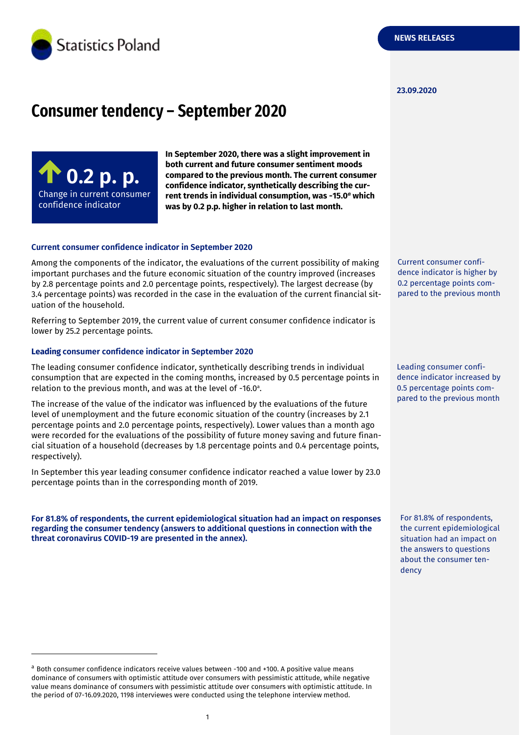

#### **23.09.2020**

# **Consumer tendency – September 2020**

**0.2 p. p.** Change in current consumer confidence indicator

-

**In September 2020, there was a slight improvement in both current and future consumer sentiment moods compared to the previous month. The current consumer confidence indicator, synthetically describing the current trends in individual consumption, was -15.0** *<sup>a</sup>* **which was by 0.2 p.p. higher in relation to last month.**

#### **Current consumer confidence indicator in September 2020**

Among the components of the indicator, the evaluations of the current possibility of making important purchases and the future economic situation of the country improved (increases by 2.8 percentage points and 2.0 percentage points, respectively). The largest decrease (by 3.4 percentage points) was recorded in the case in the evaluation of the current financial situation of the household.

Referring to September 2019, the current value of current consumer confidence indicator is lower by 25.2 percentage points.

#### **Leading consumer confidence indicator in September 2020**

The leading consumer confidence indicator, synthetically describing trends in individual consumption that are expected in the coming months, increased by 0.5 percentage points in relation to the previous month, and was at the level of -16.0 a .

The increase of the value of the indicator was influenced by the evaluations of the future level of unemployment and the future economic situation of the country (increases by 2.1 percentage points and 2.0 percentage points, respectively). Lower values than a month ago were recorded for the evaluations of the possibility of future money saving and future financial situation of a household (decreases by 1.8 percentage points and 0.4 percentage points, respectively).

In September this year leading consumer confidence indicator reached a value lower by 23.0 percentage points than in the corresponding month of 2019.

**For 81.8% of respondents, the current epidemiological situation had an impact on responses regarding the consumer tendency (answers to additional questions in connection with the threat coronavirus COVID-19 are presented in the annex).**

<sup>a</sup> Both consumer confidence indicators receive values between -100 and +100. A positive value means dominance of consumers with optimistic attitude over consumers with pessimistic attitude, while negative value means dominance of consumers with pessimistic attitude over consumers with optimistic attitude. In the period of 07-16.09.2020, 1198 interviewes were conducted using the telephone interview method.

Current consumer confidence indicator is higher by 0.2 percentage points compared to the previous month

Leading consumer confidence indicator increased by 0.5 percentage points compared to the previous month

For 81.8% of respondents, the current epidemiological situation had an impact on the answers to questions about the consumer tendency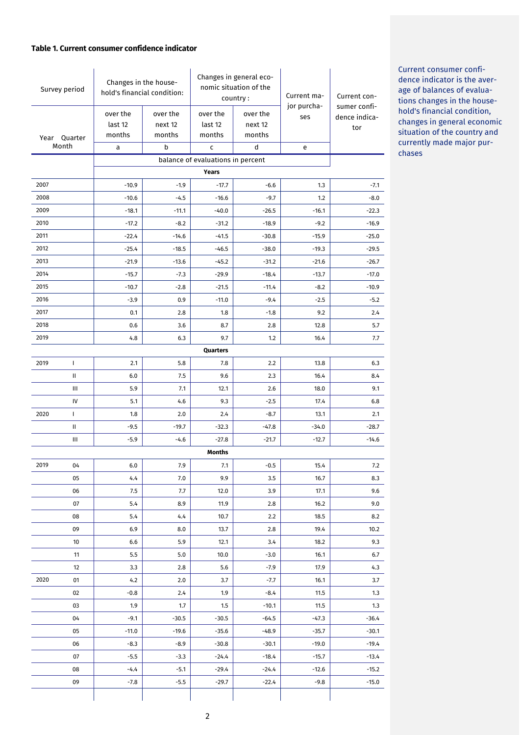#### **Table 1. Current consumer confidence indicator**

| Survey period                     |              | Changes in the house-<br>hold's financial condition: |                               | Changes in general eco-<br>nomic situation of the<br>country: |                               | Current ma-        | Current con-                         |
|-----------------------------------|--------------|------------------------------------------------------|-------------------------------|---------------------------------------------------------------|-------------------------------|--------------------|--------------------------------------|
| Year Quarter<br>Month             |              | over the<br>last 12<br>months                        | over the<br>next 12<br>months | over the<br>last 12<br>months                                 | over the<br>next 12<br>months | jor purcha-<br>ses | sumer confi-<br>dence indica-<br>tor |
|                                   |              | a                                                    | b                             | C                                                             | d                             | e                  |                                      |
| balance of evaluations in percent |              |                                                      |                               |                                                               |                               |                    |                                      |
|                                   |              |                                                      |                               | Years                                                         |                               |                    |                                      |
| 2007                              |              | $-10.9$                                              | $-1.9$                        | $-17.7$                                                       | $-6.6$                        | 1.3                | $-7.1$                               |
| 2008<br>2009                      |              | $-10.6$                                              | $-4.5$                        | $-16.6$                                                       | $-9.7$                        | 1.2                | $-8.0$                               |
| 2010                              |              | $-18.1$<br>$-17.2$                                   | $-11.1$<br>$-8.2$             | $-40.0$<br>$-31.2$                                            | $-26.5$<br>$-18.9$            | $-16.1$<br>$-9.2$  | $-22.3$<br>$-16.9$                   |
| 2011                              |              | $-22.4$                                              | $-14.6$                       | $-41.5$                                                       | $-30.8$                       | $-15.9$            | $-25.0$                              |
| 2012                              |              | $-25.4$                                              | $-18.5$                       | $-46.5$                                                       | $-38.0$                       | $-19.3$            | $-29.5$                              |
| 2013                              |              | $-21.9$                                              | $-13.6$                       | $-45.2$                                                       | $-31.2$                       | $-21.6$            | $-26.7$                              |
| 2014                              |              | $-15.7$                                              | $-7.3$                        | $-29.9$                                                       | $-18.4$                       | $-13.7$            | $-17.0$                              |
| 2015                              |              | $-10.7$                                              | $-2.8$                        | $-21.5$                                                       | $-11.4$                       | $-8.2$             | $-10.9$                              |
| 2016                              |              | $-3.9$                                               | 0.9                           | $-11.0$                                                       | $-9.4$                        | $-2.5$             | $-5.2$                               |
| 2017                              |              | 0.1                                                  | 2.8                           | 1.8                                                           | $-1.8$                        | 9.2                | 2.4                                  |
| 2018                              |              | 0.6                                                  | 3.6                           | 8.7                                                           | 2.8                           | 12.8               | 5.7                                  |
| 2019                              |              | 4.8                                                  | 6.3                           | 9.7                                                           | 1.2                           | 16.4               | 7.7                                  |
|                                   |              |                                                      |                               | Quarters                                                      |                               |                    |                                      |
| 2019                              | $\mathbf{I}$ | 2.1                                                  | 5.8                           | 7.8                                                           | 2.2                           | 13.8               | 6.3                                  |
|                                   | Ш            | 6.0                                                  | 7.5                           | 9.6                                                           | 2.3                           | 16.4               | 8.4                                  |
|                                   | Ш            | 5.9                                                  | 7.1                           | 12.1                                                          | 2.6                           | 18.0               | 9.1                                  |
|                                   | IV           | 5.1                                                  | 4.6                           | 9.3                                                           | $-2.5$                        | 17.4               | 6.8                                  |
| 2020                              | $\mathbf{I}$ | 1.8                                                  | 2.0                           | 2.4                                                           | $-8.7$                        | 13.1               | 2.1                                  |
|                                   | Ш            | $-9.5$                                               | $-19.7$                       | $-32.3$                                                       | $-47.8$                       | $-34.0$            | $-28.7$                              |
|                                   | Ш            | $-5.9$                                               | $-4.6$                        | $-27.8$                                                       | $-21.7$                       | $-12.7$            | $-14.6$                              |
|                                   |              |                                                      |                               | Months                                                        |                               |                    |                                      |
| 2019                              | 04           | 6.0                                                  | 7.9                           | 7.1                                                           | $-0.5$                        | 15.4               | 7.2                                  |
|                                   | 05           | 4.4                                                  | 7.0                           | 9.9                                                           | 3.5                           | 16.7               | 8.3                                  |
|                                   | 06           | 7.5                                                  | 7.7                           | 12.0                                                          | 3.9                           | 17.1               | 9.6                                  |
|                                   | 07           | 5.4                                                  | 8.9                           | 11.9                                                          | 2.8                           | 16.2               | 9.0                                  |
|                                   | 08           | 5.4                                                  | 4.4                           | 10.7                                                          | 2.2                           | 18.5               | 8.2                                  |
|                                   | 09           | 6.9                                                  | 8.0                           | 13.7                                                          | 2.8                           | 19.4               | 10.2                                 |
|                                   | 10           | 6.6                                                  | 5.9                           | 12.1                                                          | 3.4                           | 18.2               | 9.3                                  |
|                                   | 11           | 5.5                                                  | 5.0                           | 10.0                                                          | $-3.0$                        | 16.1               | 6.7                                  |
|                                   | 12           | 3.3                                                  | 2.8                           | 5.6                                                           | $-7.9$                        | 17.9               | 4.3                                  |
| 2020                              | 01           | 4.2                                                  | 2.0                           | 3.7                                                           | $-7.7$                        | 16.1               | 3.7                                  |
|                                   | 02           | $-0.8$                                               | 2.4                           | 1.9                                                           | $-8.4$                        | 11.5               | 1.3                                  |
|                                   | 03           | 1.9                                                  | 1.7                           | 1.5                                                           | $-10.1$                       | 11.5               | 1.3                                  |
|                                   | 04           | $-9.1$                                               | $-30.5$                       | $-30.5$                                                       | $-64.5$                       | $-47.3$            | $-36.4$                              |
|                                   | 05           | $-11.0$                                              | $-19.6$                       | $-35.6$                                                       | $-48.9$                       | $-35.7$            | $-30.1$                              |
|                                   | 06           | $-8.3$                                               | $-8.9$                        | $-30.8$                                                       | $-30.1$                       | $-19.0$            | $-19.4$                              |
|                                   | 07           | $-5.5$                                               | $-3.3$                        | $-24.4$                                                       | $-18.4$                       | $-15.7$            | $-13.4$                              |
|                                   | 08           | $-4.4$                                               | $-5.1$                        | $-29.4$                                                       | $-24.4$                       | $-12.6$            | $-15.2$                              |
|                                   | 09           | $-7.8$                                               | $-5.5$                        | $-29.7$                                                       | $-22.4$                       | $-9.8$             | $-15.0$                              |
|                                   |              |                                                      |                               |                                                               |                               |                    |                                      |

Current consumer confidence indicator is the average of balances of evaluations changes in the household's financial condition, changes in general economic situation of the country and currently made major purchases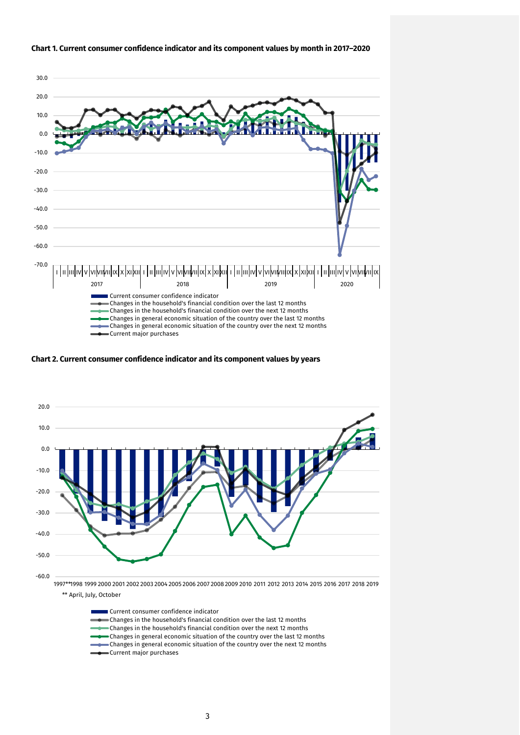

#### **Chart 1. Current consumer confidence indicator and its component values by month in 2017–2020**

**Chart 2. Current consumer confidence indicator and its component values by years**



Current consumer confidence indicator Changes in the household's financial condition over the last 12 months Changes in the household's financial condition over the next 12 months Changes in general economic situation of the country over the last 12 months Changes in general economic situation of the country over the next 12 months Current major purchases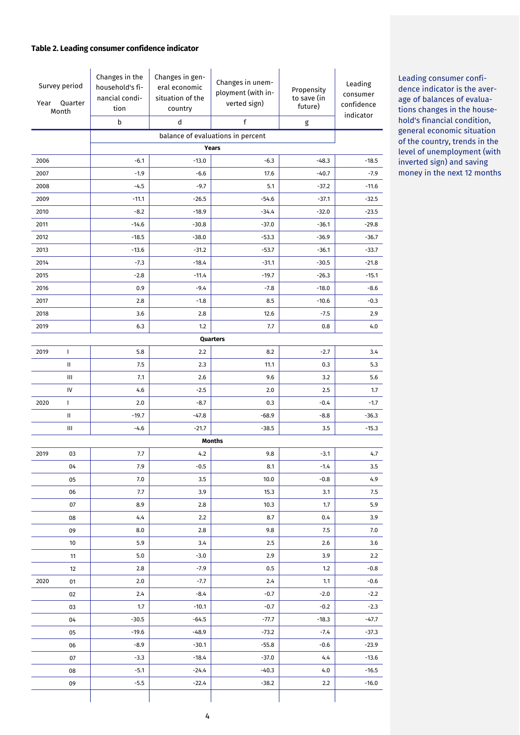## **Table 2. Leading consumer confidence indicator**

| Survey period<br>Year<br>Quarter<br>Month |                                                           | Changes in the<br>household's fi-<br>nancial condi-<br>tion<br>$\sf b$ | Changes in gen-<br>eral economic<br>situation of the<br>country<br>d | Changes in unem-<br>ployment (with in-<br>verted sign)<br>$\mathsf f$ | Propensity<br>to save (in<br>future)<br>$\sf{g}$ | Leading<br>consumer<br>confidence<br>indicator |  |  |
|-------------------------------------------|-----------------------------------------------------------|------------------------------------------------------------------------|----------------------------------------------------------------------|-----------------------------------------------------------------------|--------------------------------------------------|------------------------------------------------|--|--|
|                                           |                                                           | balance of evaluations in percent                                      |                                                                      |                                                                       |                                                  |                                                |  |  |
|                                           |                                                           |                                                                        |                                                                      |                                                                       |                                                  |                                                |  |  |
| 2006                                      |                                                           | $-6.1$                                                                 | $-13.0$                                                              | $-6.3$                                                                | $-48.3$                                          | $-18.5$                                        |  |  |
| 2007                                      |                                                           | $-1.9$                                                                 | $-6.6$                                                               | 17.6                                                                  | $-40.7$                                          | $-7.9$                                         |  |  |
| 2008                                      |                                                           | $-4.5$                                                                 | $-9.7$                                                               | 5.1                                                                   | $-37.2$                                          | $-11.6$                                        |  |  |
| 2009                                      |                                                           | $-11.1$                                                                | $-26.5$                                                              | $-54.6$                                                               | $-37.1$                                          | $-32.5$                                        |  |  |
| 2010                                      |                                                           | $-8.2$                                                                 | $-18.9$                                                              | $-34.4$                                                               | $-32.0$                                          | $-23.5$                                        |  |  |
| 2011                                      |                                                           | $-14.6$                                                                | $-30.8$                                                              | $-37.0$                                                               | $-36.1$                                          | $-29.8$                                        |  |  |
| 2012                                      |                                                           | $-18.5$                                                                | $-38.0$                                                              | $-53.3$                                                               | $-36.9$                                          | $-36.7$                                        |  |  |
| 2013                                      |                                                           | $-13.6$                                                                | $-31.2$                                                              | $-53.7$                                                               | $-36.1$                                          | $-33.7$                                        |  |  |
| 2014                                      |                                                           | $-7.3$                                                                 | $-18.4$                                                              | $-31.1$                                                               | $-30.5$                                          | $-21.8$                                        |  |  |
| 2015                                      |                                                           | $-2.8$                                                                 | $-11.4$                                                              | $-19.7$                                                               | $-26.3$                                          | $-15.1$                                        |  |  |
| 2016                                      |                                                           | 0.9                                                                    | $-9.4$                                                               | $-7.8$                                                                | $-18.0$                                          | $-8.6$                                         |  |  |
| 2017                                      |                                                           | 2.8                                                                    | $-1.8$                                                               | 8.5                                                                   | $-10.6$                                          | $-0.3$                                         |  |  |
| 2018                                      |                                                           | 3.6                                                                    | 2.8                                                                  | 12.6                                                                  | $-7.5$                                           | 2.9                                            |  |  |
| 2019                                      |                                                           | 6.3                                                                    | 1.2                                                                  | 7.7                                                                   | 0.8                                              | 4.0                                            |  |  |
|                                           |                                                           |                                                                        |                                                                      | Quarters                                                              |                                                  |                                                |  |  |
| 2019                                      | $\mathbf{I}$                                              | 5.8                                                                    | 2.2                                                                  | 8.2                                                                   | $-2.7$                                           | 3.4                                            |  |  |
|                                           | $\mathbf{H}$                                              | 7.5                                                                    | 2.3                                                                  | 11.1                                                                  | 0.3                                              | 5.3                                            |  |  |
|                                           | $\ensuremath{\mathsf{III}}\xspace$                        | 7.1                                                                    | 2.6                                                                  | 9.6                                                                   | 3.2                                              | 5.6                                            |  |  |
|                                           | IV                                                        | 4.6                                                                    | $-2.5$                                                               | 2.0                                                                   | 2.5                                              | 1.7                                            |  |  |
| 2020                                      | $\mathbf{I}$                                              | 2.0                                                                    | $-8.7$                                                               | 0.3                                                                   | $-0.4$                                           | $-1.7$                                         |  |  |
|                                           | $\mathbf{H}$                                              | $-19.7$                                                                | $-47.8$                                                              | $-68.9$                                                               | $-8.8$                                           | $-36.3$                                        |  |  |
|                                           | Ш<br>$-4.6$<br>$-21.7$<br>$-38.5$<br>3.5<br><b>Months</b> |                                                                        |                                                                      |                                                                       |                                                  | $-15.3$                                        |  |  |
| 2019                                      | 03                                                        | 7.7                                                                    | 4.2                                                                  | 9.8<br>$-3.1$                                                         |                                                  | 4.7                                            |  |  |
|                                           | 04                                                        | 7.9                                                                    | $-0.5$                                                               | 8.1                                                                   | $-1.4$                                           | 3.5                                            |  |  |
|                                           | 05                                                        | 7.0                                                                    | 3.5                                                                  | 10.0                                                                  | $-0.8$                                           | 4.9                                            |  |  |
|                                           | 06                                                        | 7.7                                                                    | 3.9                                                                  | 15.3                                                                  | 3.1                                              | 7.5                                            |  |  |
|                                           | 07                                                        | 8.9                                                                    | 2.8                                                                  | 10.3                                                                  | 1.7                                              | 5.9                                            |  |  |
|                                           | 08                                                        | 4.4                                                                    | 2.2                                                                  | 8.7                                                                   | 0.4                                              | 3.9                                            |  |  |
|                                           | 09                                                        | 8.0                                                                    | 2.8                                                                  | 9.8                                                                   | 7.5                                              | 7.0                                            |  |  |
|                                           | 10                                                        | 5.9                                                                    | 3.4                                                                  | 2.5                                                                   | 2.6                                              | 3.6                                            |  |  |
|                                           | 11                                                        | 5.0                                                                    | $-3.0$                                                               | 2.9                                                                   | 3.9                                              | 2.2                                            |  |  |
|                                           | 12                                                        | 2.8                                                                    | $-7.9$                                                               | 0.5                                                                   | 1.2                                              | $-0.8$                                         |  |  |
| 2020                                      | 01                                                        | 2.0                                                                    | $-7.7$                                                               | 2.4                                                                   | 1.1                                              | $-0.6$                                         |  |  |
|                                           | 02                                                        | 2.4                                                                    | $-8.4$                                                               | $-0.7$                                                                | $-2.0$                                           | $-2.2$                                         |  |  |
|                                           | 03                                                        | 1.7                                                                    | $-10.1$                                                              | $-0.7$                                                                | $-0.2$                                           | $-2.3$                                         |  |  |
|                                           | 04                                                        | $-30.5$                                                                | $-64.5$                                                              | -77.7                                                                 | $-18.3$                                          | -47.7                                          |  |  |
|                                           | 05                                                        | $-19.6$                                                                | $-48.9$                                                              | $-73.2$                                                               | $-7.4$                                           | -37.3                                          |  |  |
|                                           | 06                                                        | $-8.9$                                                                 | $-30.1$                                                              | $-55.8$                                                               | $-0.6$                                           | $-23.9$                                        |  |  |
|                                           | 07                                                        | $-3.3$                                                                 | $-18.4$                                                              | $-37.0$                                                               | 4.4                                              | $-13.6$                                        |  |  |
|                                           | 08                                                        | $-5.1$                                                                 | $-24.4$                                                              | $-40.3$                                                               | 4.0                                              | $-16.5$                                        |  |  |
|                                           | 09                                                        | $-5.5$                                                                 | $-22.4$                                                              | $-38.2$                                                               | 2.2                                              | $-16.0$                                        |  |  |
|                                           |                                                           |                                                                        |                                                                      |                                                                       |                                                  |                                                |  |  |

Leading consumer confidence indicator is the average of balances of evaluations changes in the household's financial condition, general economic situation of the country, trends in the level of unemployment (with inverted sign) and saving money in the next 12 months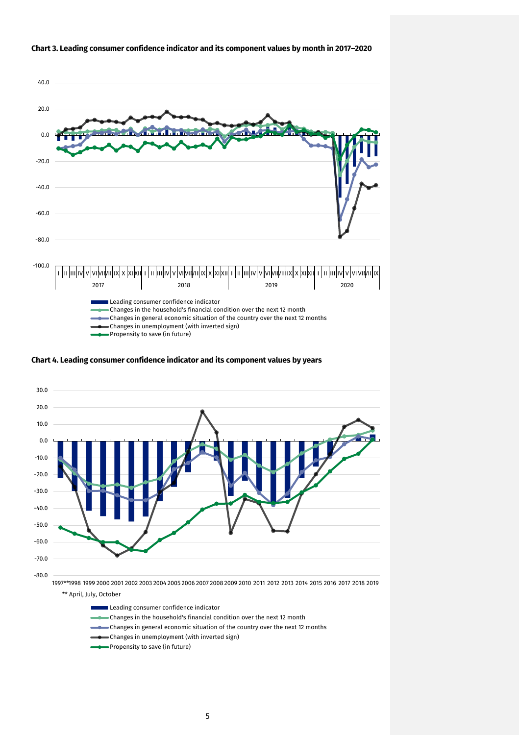

#### **Chart 3. Leading consumer confidence indicator and its component values by month in 2017–2020**

**Chart 4. Leading consumer confidence indicator and its component values by years**



\*\* April, July, October

- Leading consumer confidence indicator
- Changes in the household's financial condition over the next 12 month
- Changes in general economic situation of the country over the next 12 months
- Changes in unemployment (with inverted sign)
- Propensity to save (in future)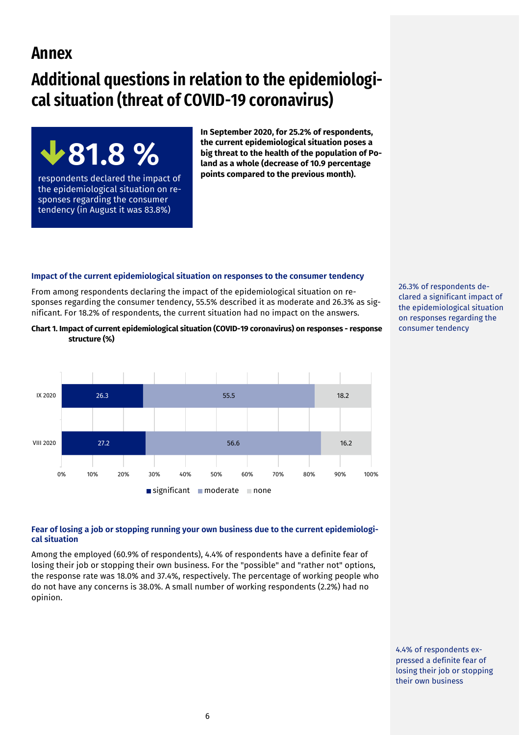## **Annex**

# **Additional questions in relation to the epidemiological situation (threat of COVID-19 coronavirus)**



respondents declared the impact of the epidemiological situation on responses regarding the consumer tendency (in August it was 83.8%)

**In September 2020, for 25.2% of respondents, the current epidemiological situation poses a big threat to the health of the population of Poland as a whole (decrease of 10.9 percentage points compared to the previous month).** 

## **Impact of the current epidemiological situation on responses to the consumer tendency**

From among respondents declaring the impact of the epidemiological situation on responses regarding the consumer tendency, 55.5% described it as moderate and 26.3% as significant. For 18.2% of respondents, the current situation had no impact on the answers.

#### **Chart 1. Impact of current epidemiological situation (COVID-19 coronavirus) on responses - response structure (%)**



**Fear of losing a job or stopping running your own business due to the current epidemiological situation**

Among the employed (60.9% of respondents), 4.4% of respondents have a definite fear of losing their job or stopping their own business. For the "possible" and "rather not" options, the response rate was 18.0% and 37.4%, respectively. The percentage of working people who do not have any concerns is 38.0%. A small number of working respondents (2.2%) had no opinion.

26.3% of respondents declared a significant impact of the epidemiological situation on responses regarding the consumer tendency

4.4% of respondents expressed a definite fear of losing their job or stopping their own business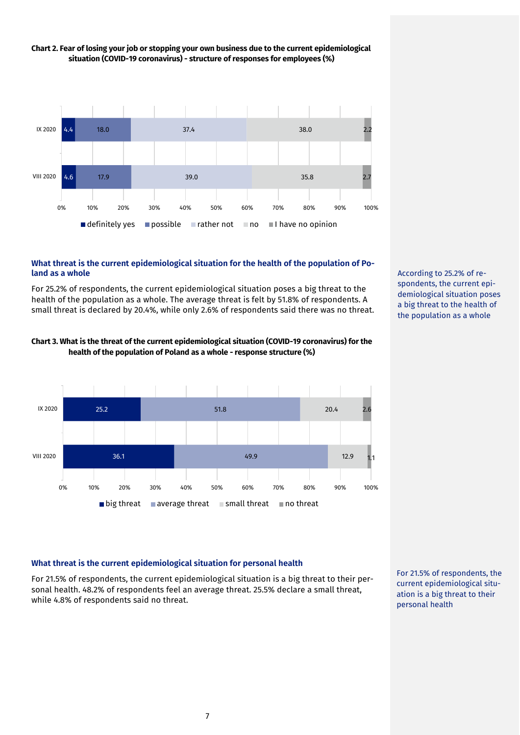

## **Chart 2. Fear of losing your job or stopping your own business due to the current epidemiological situation (COVID-19 coronavirus) - structure of responses for employees (%)**

## **What threat is the current epidemiological situation for the health of the population of Poland as a whole**

For 25.2% of respondents, the current epidemiological situation poses a big threat to the health of the population as a whole. The average threat is felt by 51.8% of respondents. A small threat is declared by 20.4%, while only 2.6% of respondents said there was no threat.





According to 25.2% of respondents, the current epidemiological situation poses a big threat to the health of the population as a whole

## **What threat is the current epidemiological situation for personal health**

For 21.5% of respondents, the current epidemiological situation is a big threat to their personal health. 48.2% of respondents feel an average threat. 25.5% declare a small threat, while 4.8% of respondents said no threat.

For 21.5% of respondents, the current epidemiological situation is a big threat to their personal health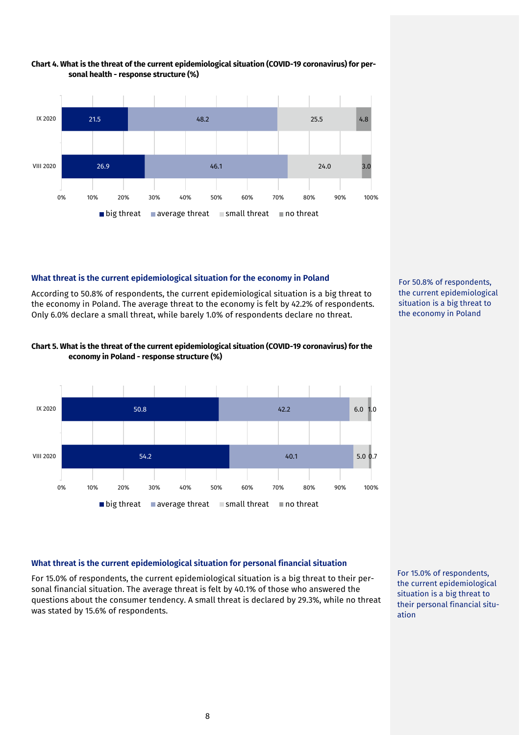

#### **Chart 4. What is the threat of the current epidemiological situation (COVID-19 coronavirus) for personal health - response structure (%)**

## **What threat is the current epidemiological situation for the economy in Poland**

According to 50.8% of respondents, the current epidemiological situation is a big threat to the economy in Poland. The average threat to the economy is felt by 42.2% of respondents. Only 6.0% declare a small threat, while barely 1.0% of respondents declare no threat.



## **Chart 5. What is the threat of the current epidemiological situation (COVID-19 coronavirus) for the economy in Poland - response structure (%)**



## **What threat is the current epidemiological situation for personal financial situation**

For 15.0% of respondents, the current epidemiological situation is a big threat to their personal financial situation. The average threat is felt by 40.1% of those who answered the questions about the consumer tendency. A small threat is declared by 29.3%, while no threat was stated by 15.6% of respondents.

For 15.0% of respondents, the current epidemiological situation is a big threat to their personal financial situation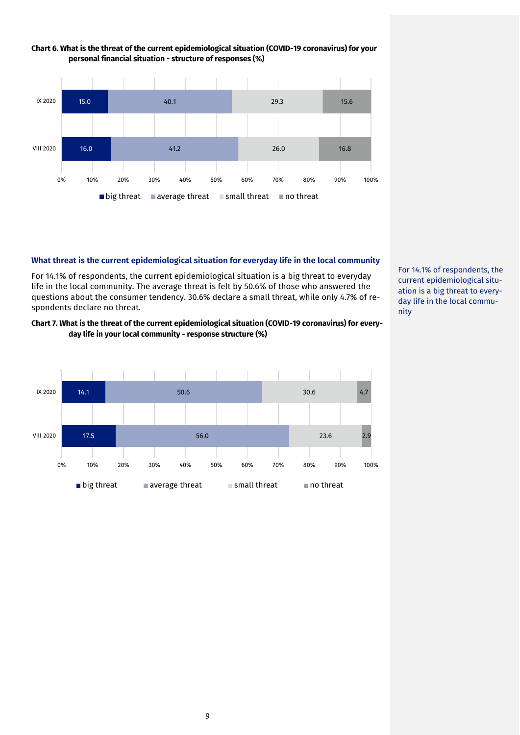

## **Chart 6. What is the threat of the current epidemiological situation (COVID-19 coronavirus) for your personal financial situation - structure of responses (%)**

#### **What threat is the current epidemiological situation for everyday life in the local community**

For 14.1% of respondents, the current epidemiological situation is a big threat to everyday life in the local community. The average threat is felt by 50.6% of those who answered the questions about the consumer tendency. 30.6% declare a small threat, while only 4.7% of respondents declare no threat.

## **Chart 7. What is the threat of the current epidemiological situation (COVID-19 coronavirus) for everyday life in your local community - response structure (%)**



For 14.1% of respondents, the current epidemiological situation is a big threat to everyday life in the local community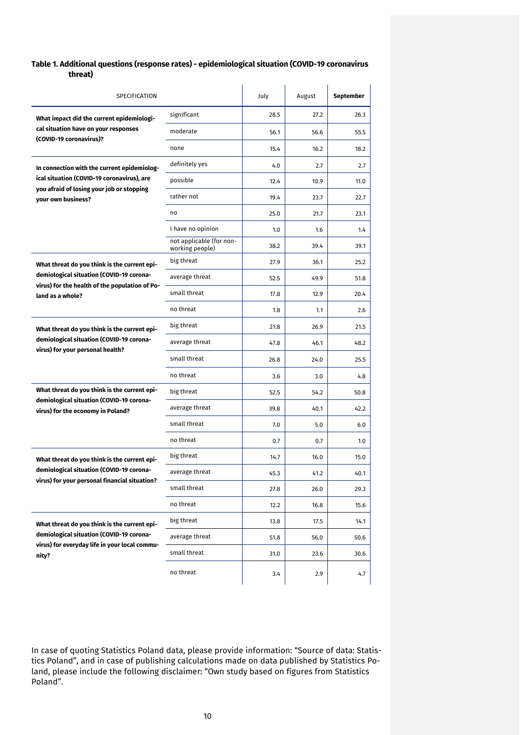## **Table 1. Additional questions (response rates) - epidemiological situation (COVID-19 coronavirus threat)**

| SPECIFICATION                                                                 |                                             | July | August | September |
|-------------------------------------------------------------------------------|---------------------------------------------|------|--------|-----------|
| What impact did the current epidemiologi-                                     | significant                                 | 28.5 | 27.2   | 26.3      |
| cal situation have on your responses                                          | moderate                                    | 56.1 | 56.6   | 55.5      |
| (COVID-19 coronavirus)?                                                       | none                                        | 15.4 | 16.2   | 18.2      |
| In connection with the current epidemiolog-                                   | definitely yes                              | 4.0  | 2.7    | 2.7       |
| ical situation (COVID-19 coronavirus), are                                    | possible                                    | 12.4 | 10.9   | 11.0      |
| you afraid of losing your job or stopping<br>your own business?               | rather not                                  | 19.4 | 23.7   | 22.7      |
|                                                                               | no                                          | 25.0 | 21.7   | 23.1      |
|                                                                               | I have no opinion                           | 1.0  | 1.6    | 1.4       |
|                                                                               | not applicable (for non-<br>working people) | 38.2 | 39.4   | 39.1      |
| What threat do you think is the current epi-                                  | big threat                                  | 27.9 | 36.1   | 25.2      |
| demiological situation (COVID-19 corona-                                      | average threat                              | 52.5 | 49.9   | 51.8      |
| virus) for the health of the population of Po-<br>land as a whole?            | small threat                                | 17.8 | 12.9   | 20.4      |
|                                                                               | no threat                                   | 1.8  | 1.1    | 2.6       |
| What threat do you think is the current epi-                                  | big threat                                  | 21.8 | 26.9   | 21.5      |
| demiological situation (COVID-19 corona-                                      | average threat                              | 47.8 | 46.1   | 48.2      |
| virus) for your personal health?                                              | small threat                                | 26.8 | 24.0   | 25.5      |
|                                                                               | no threat                                   | 3.6  | 3.0    | 4.8       |
| What threat do you think is the current epi-                                  | big threat                                  | 52.5 | 54.2   | 50.8      |
| demiological situation (COVID-19 corona-<br>virus) for the economy in Poland? | average threat                              | 39.8 | 40.1   | 42.2      |
|                                                                               | small threat                                | 7.0  | 5.0    | 6.0       |
|                                                                               | no threat                                   | 0.7  | 0.7    | 1.0       |
| What threat do you think is the current epi-                                  | big threat                                  | 14.7 | 16.0   | 15.0      |
| demiological situation (COVID-19 corona-                                      | average threat                              | 45.3 | 41.2   | 40.1      |
| virus) for your personal financial situation?                                 | small threat                                | 27.8 | 26.0   | 29.3      |
|                                                                               | no threat                                   | 12.2 | 16.8   | 15.6      |
| What threat do you think is the current epi-                                  | big threat                                  | 13.8 | 17.5   | 14.1      |
| demiological situation (COVID-19 corona-                                      | average threat                              | 51.8 | 56.0   | 50.6      |
| virus) for everyday life in your local commu-<br>nity?                        | small threat                                | 31.0 | 23.6   | 30.6      |
|                                                                               | no threat                                   | 3.4  | 2.9    | 4.7       |

In case of quoting Statistics Poland data, please provide information: "Source of data: Statistics Poland", and in case of publishing calculations made on data published by Statistics Poland, please include the following disclaimer: "Own study based on figures from Statistics Poland".